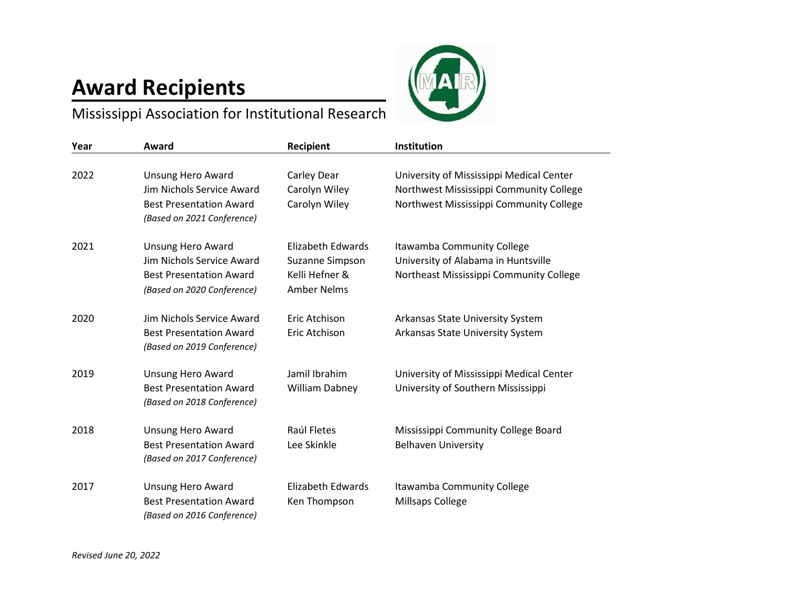## **Award Recipients**



Mississippi Association for Institutional Research

| Year | Award                                                                                                                 | Recipient                                                                    | Institution                                                                                                                    |
|------|-----------------------------------------------------------------------------------------------------------------------|------------------------------------------------------------------------------|--------------------------------------------------------------------------------------------------------------------------------|
| 2022 | <b>Unsung Hero Award</b><br>Jim Nichols Service Award<br><b>Best Presentation Award</b><br>(Based on 2021 Conference) | Carley Dear<br>Carolyn Wiley<br>Carolyn Wiley                                | University of Mississippi Medical Center<br>Northwest Mississippi Community College<br>Northwest Mississippi Community College |
| 2021 | <b>Unsung Hero Award</b><br>Jim Nichols Service Award<br><b>Best Presentation Award</b><br>(Based on 2020 Conference) | Elizabeth Edwards<br>Suzanne Simpson<br>Kelli Hefner &<br><b>Amber Nelms</b> | Itawamba Community College<br>University of Alabama in Huntsville<br>Northeast Mississippi Community College                   |
| 2020 | Jim Nichols Service Award<br><b>Best Presentation Award</b><br>(Based on 2019 Conference)                             | Eric Atchison<br>Eric Atchison                                               | Arkansas State University System<br>Arkansas State University System                                                           |
| 2019 | <b>Unsung Hero Award</b><br><b>Best Presentation Award</b><br>(Based on 2018 Conference)                              | Jamil Ibrahim<br><b>William Dabney</b>                                       | University of Mississippi Medical Center<br>University of Southern Mississippi                                                 |
| 2018 | Unsung Hero Award<br><b>Best Presentation Award</b><br>(Based on 2017 Conference)                                     | Raúl Fletes<br>Lee Skinkle                                                   | Mississippi Community College Board<br><b>Belhaven University</b>                                                              |
| 2017 | Unsung Hero Award<br><b>Best Presentation Award</b><br>(Based on 2016 Conference)                                     | Elizabeth Edwards<br>Ken Thompson                                            | Itawamba Community College<br>Millsaps College                                                                                 |